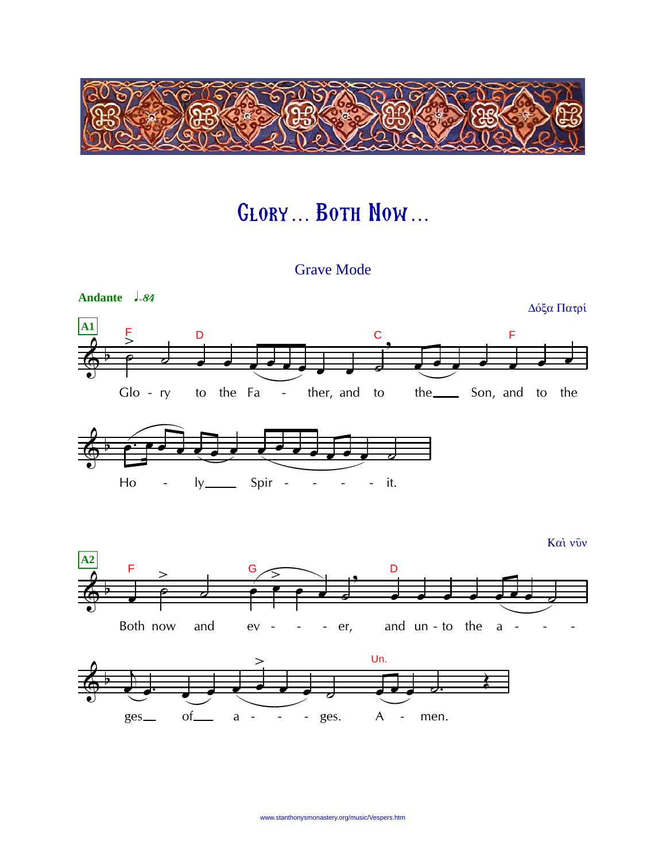

## **GLORY... BOTH NOW...**

**Grave Mode** 

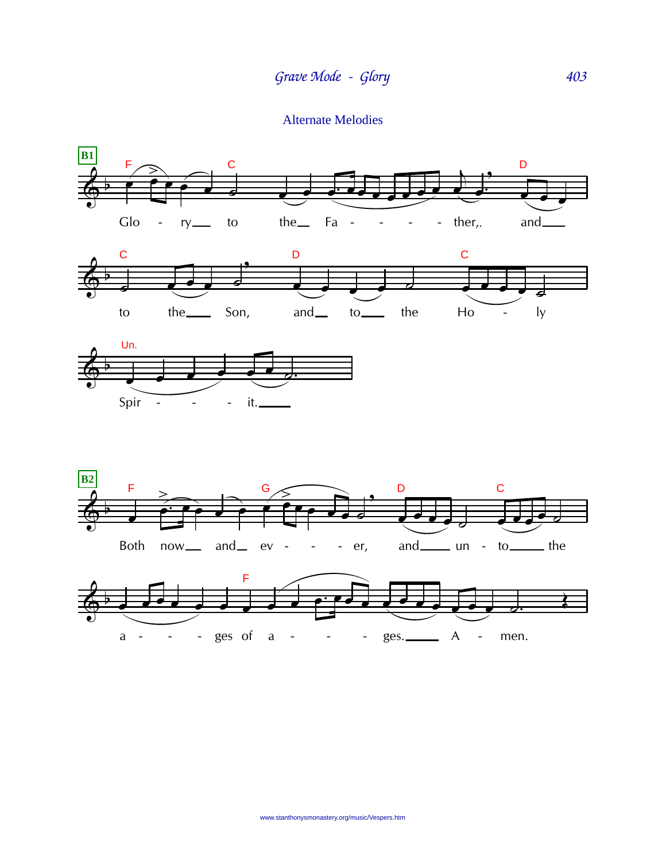**Alternate Melodies**